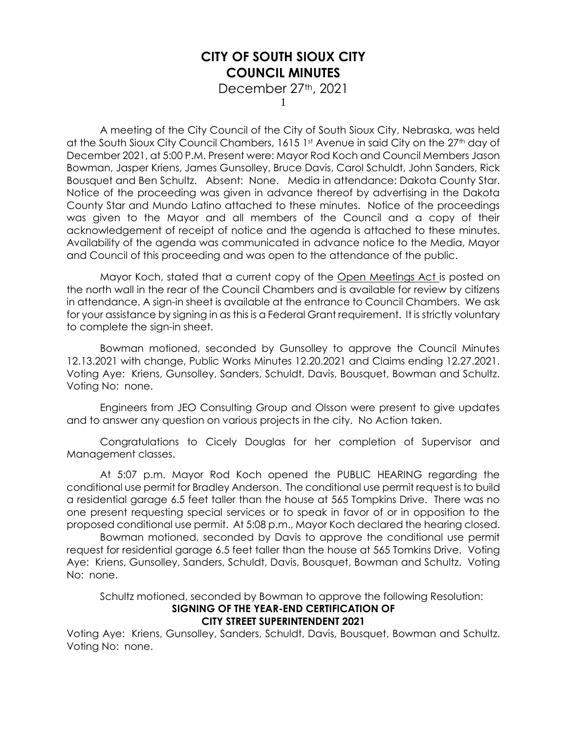December 27th, 2021

1

A meeting of the City Council of the City of South Sioux City, Nebraska, was held at the South Sioux City Council Chambers, 1615 1st Avenue in said City on the 27<sup>th</sup> day of December 2021, at 5:00 P.M. Present were: Mayor Rod Koch and Council Members Jason Bowman, Jasper Kriens, James Gunsolley, Bruce Davis, Carol Schuldt, John Sanders, Rick Bousquet and Ben Schultz. Absent: None. Media in attendance: Dakota County Star. Notice of the proceeding was given in advance thereof by advertising in the Dakota County Star and Mundo Latino attached to these minutes. Notice of the proceedings was given to the Mayor and all members of the Council and a copy of their acknowledgement of receipt of notice and the agenda is attached to these minutes. Availability of the agenda was communicated in advance notice to the Media, Mayor and Council of this proceeding and was open to the attendance of the public.

Mayor Koch, stated that a current copy of the Open Meetings Act is posted on the north wall in the rear of the Council Chambers and is available for review by citizens in attendance. A sign-in sheet is available at the entrance to Council Chambers. We ask for your assistance by signing in as this is a Federal Grant requirement. It is strictly voluntary to complete the sign-in sheet.

Bowman motioned, seconded by Gunsolley to approve the Council Minutes 12.13.2021 with change, Public Works Minutes 12.20.2021 and Claims ending 12.27.2021. Voting Aye: Kriens, Gunsolley, Sanders, Schuldt, Davis, Bousquet, Bowman and Schultz. Voting No: none.

Engineers from JEO Consulting Group and Olsson were present to give updates and to answer any question on various projects in the city. No Action taken.

Congratulations to Cicely Douglas for her completion of Supervisor and Management classes.

At 5:07 p.m. Mayor Rod Koch opened the PUBLIC HEARING regarding the conditional use permit for Bradley Anderson. The conditional use permit request is to build a residential garage 6.5 feet taller than the house at 565 Tompkins Drive. There was no one present requesting special services or to speak in favor of or in opposition to the proposed conditional use permit. At 5:08 p.m., Mayor Koch declared the hearing closed.

Bowman motioned, seconded by Davis to approve the conditional use permit request for residential garage 6.5 feet taller than the house at 565 Tomkins Drive. Voting Aye: Kriens, Gunsolley, Sanders, Schuldt, Davis, Bousquet, Bowman and Schultz. Voting No: none.

Schultz motioned, seconded by Bowman to approve the following Resolution:

### **SIGNING OF THE YEAR-END CERTIFICATION OF**

### **CITY STREET SUPERINTENDENT 2021**

Voting Aye: Kriens, Gunsolley, Sanders, Schuldt, Davis, Bousquet, Bowman and Schultz. Voting No: none.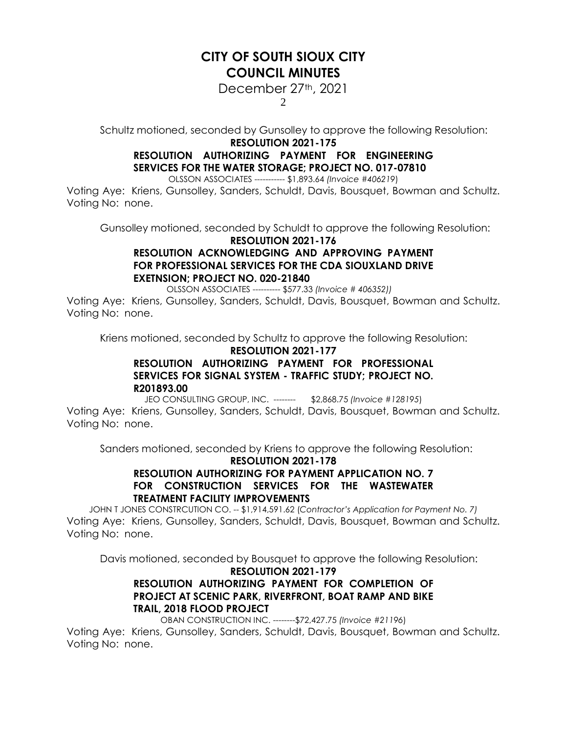December 27<sup>th</sup>, 2021

2

Schultz motioned, seconded by Gunsolley to approve the following Resolution:

#### **RESOLUTION 2021-175**

## **RESOLUTION AUTHORIZING PAYMENT FOR ENGINEERING SERVICES FOR THE WATER STORAGE; PROJECT NO. 017-07810**

OLSSON ASSOCIATES ----------- \$1,893.64 *(Invoice #406219*)

Voting Aye: Kriens, Gunsolley, Sanders, Schuldt, Davis, Bousquet, Bowman and Schultz. Voting No: none.

Gunsolley motioned, seconded by Schuldt to approve the following Resolution:

#### **RESOLUTION 2021-176**

### **RESOLUTION ACKNOWLEDGING AND APPROVING PAYMENT FOR PROFESSIONAL SERVICES FOR THE CDA SIOUXLAND DRIVE EXETNSION; PROJECT NO. 020-21840**

OLSSON ASSOCIATES ---------- \$577.33 *(Invoice # 406352))*

Voting Aye: Kriens, Gunsolley, Sanders, Schuldt, Davis, Bousquet, Bowman and Schultz. Voting No: none.

Kriens motioned, seconded by Schultz to approve the following Resolution:

#### **RESOLUTION 2021-177**

### **RESOLUTION AUTHORIZING PAYMENT FOR PROFESSIONAL SERVICES FOR SIGNAL SYSTEM - TRAFFIC STUDY; PROJECT NO. R201893.00**

JEO CONSULTING GROUP, INC. -------- \$2,868.75 *(Invoice #128195*)

Voting Aye: Kriens, Gunsolley, Sanders, Schuldt, Davis, Bousquet, Bowman and Schultz. Voting No: none.

Sanders motioned, seconded by Kriens to approve the following Resolution:

### **RESOLUTION 2021-178 RESOLUTION AUTHORIZING FOR PAYMENT APPLICATION NO. 7 FOR CONSTRUCTION SERVICES FOR THE WASTEWATER TREATMENT FACILITY IMPROVEMENTS**

JOHN T JONES CONSTRCUTION CO. -- \$1,914,591.62 (*Contractor's Application for Payment No. 7)* Voting Aye: Kriens, Gunsolley, Sanders, Schuldt, Davis, Bousquet, Bowman and Schultz. Voting No: none.

Davis motioned, seconded by Bousquet to approve the following Resolution:

#### **RESOLUTION 2021-179**

### **RESOLUTION AUTHORIZING PAYMENT FOR COMPLETION OF PROJECT AT SCENIC PARK, RIVERFRONT, BOAT RAMP AND BIKE TRAIL, 2018 FLOOD PROJECT**

OBAN CONSTRUCTION INC. --------\$72,427.75 *(Invoice #21196*)

Voting Aye: Kriens, Gunsolley, Sanders, Schuldt, Davis, Bousquet, Bowman and Schultz. Voting No: none.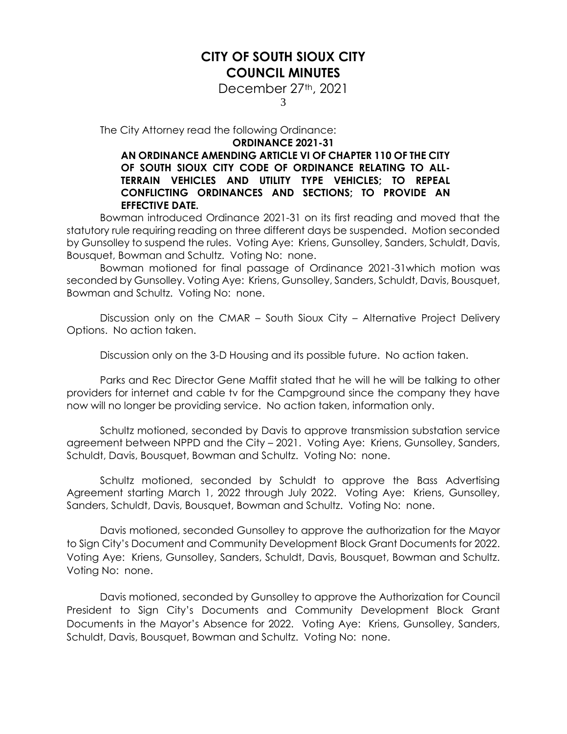December 27<sup>th</sup>, 2021

3

The City Attorney read the following Ordinance:

#### **ORDINANCE 2021-31**

### **AN ORDINANCE AMENDING ARTICLE VI OF CHAPTER 110 OF THE CITY OF SOUTH SIOUX CITY CODE OF ORDINANCE RELATING TO ALL-TERRAIN VEHICLES AND UTILITY TYPE VEHICLES; TO REPEAL CONFLICTING ORDINANCES AND SECTIONS; TO PROVIDE AN EFFECTIVE DATE.**

Bowman introduced Ordinance 2021-31 on its first reading and moved that the statutory rule requiring reading on three different days be suspended. Motion seconded by Gunsolley to suspend the rules. Voting Aye: Kriens, Gunsolley, Sanders, Schuldt, Davis, Bousquet, Bowman and Schultz. Voting No: none.

Bowman motioned for final passage of Ordinance 2021-31which motion was seconded by Gunsolley. Voting Aye: Kriens, Gunsolley, Sanders, Schuldt, Davis, Bousquet, Bowman and Schultz. Voting No: none.

Discussion only on the CMAR – South Sioux City – Alternative Project Delivery Options. No action taken.

Discussion only on the 3-D Housing and its possible future. No action taken.

Parks and Rec Director Gene Maffit stated that he will he will be talking to other providers for internet and cable tv for the Campground since the company they have now will no longer be providing service. No action taken, information only.

Schultz motioned, seconded by Davis to approve transmission substation service agreement between NPPD and the City – 2021. Voting Aye: Kriens, Gunsolley, Sanders, Schuldt, Davis, Bousquet, Bowman and Schultz. Voting No: none.

Schultz motioned, seconded by Schuldt to approve the Bass Advertising Agreement starting March 1, 2022 through July 2022. Voting Aye: Kriens, Gunsolley, Sanders, Schuldt, Davis, Bousquet, Bowman and Schultz. Voting No: none.

Davis motioned, seconded Gunsolley to approve the authorization for the Mayor to Sign City's Document and Community Development Block Grant Documents for 2022. Voting Aye: Kriens, Gunsolley, Sanders, Schuldt, Davis, Bousquet, Bowman and Schultz. Voting No: none.

Davis motioned, seconded by Gunsolley to approve the Authorization for Council President to Sign City's Documents and Community Development Block Grant Documents in the Mayor's Absence for 2022. Voting Aye: Kriens, Gunsolley, Sanders, Schuldt, Davis, Bousquet, Bowman and Schultz. Voting No: none.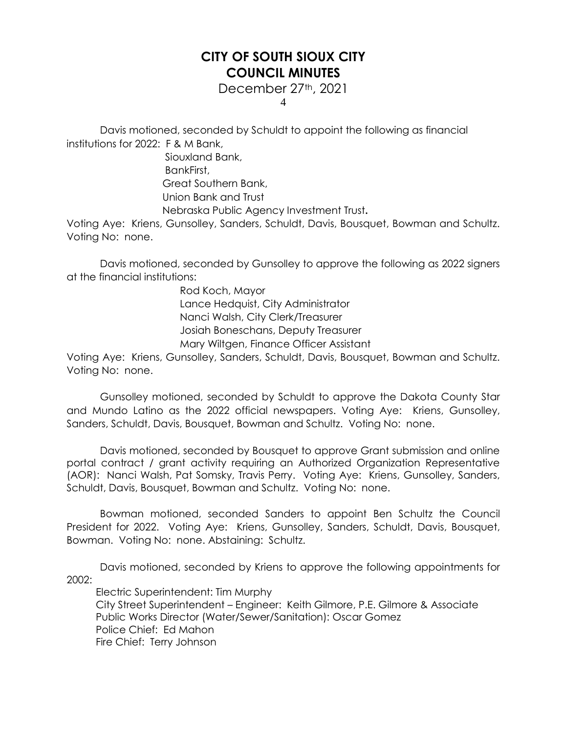December 27th, 2021

4

Davis motioned, seconded by Schuldt to appoint the following as financial institutions for 2022: F & M Bank,

> Siouxland Bank, BankFirst, Great Southern Bank, Union Bank and Trust Nebraska Public Agency Investment Trust**.**

Voting Aye: Kriens, Gunsolley, Sanders, Schuldt, Davis, Bousquet, Bowman and Schultz. Voting No: none.

Davis motioned, seconded by Gunsolley to approve the following as 2022 signers at the financial institutions:

> Rod Koch, Mayor Lance Hedquist, City Administrator Nanci Walsh, City Clerk/Treasurer Josiah Boneschans, Deputy Treasurer Mary Wiltgen, Finance Officer Assistant

Voting Aye: Kriens, Gunsolley, Sanders, Schuldt, Davis, Bousquet, Bowman and Schultz. Voting No: none.

Gunsolley motioned, seconded by Schuldt to approve the Dakota County Star and Mundo Latino as the 2022 official newspapers. Voting Aye: Kriens, Gunsolley, Sanders, Schuldt, Davis, Bousquet, Bowman and Schultz. Voting No: none.

Davis motioned, seconded by Bousquet to approve Grant submission and online portal contract / grant activity requiring an Authorized Organization Representative (AOR): Nanci Walsh, Pat Somsky, Travis Perry. Voting Aye: Kriens, Gunsolley, Sanders, Schuldt, Davis, Bousquet, Bowman and Schultz. Voting No: none.

Bowman motioned, seconded Sanders to appoint Ben Schultz the Council President for 2022. Voting Aye: Kriens, Gunsolley, Sanders, Schuldt, Davis, Bousquet, Bowman. Voting No: none. Abstaining: Schultz.

Davis motioned, seconded by Kriens to approve the following appointments for 2002:

Electric Superintendent: Tim Murphy City Street Superintendent – Engineer: Keith Gilmore, P.E. Gilmore & Associate Public Works Director (Water/Sewer/Sanitation): Oscar Gomez Police Chief: Ed Mahon Fire Chief: Terry Johnson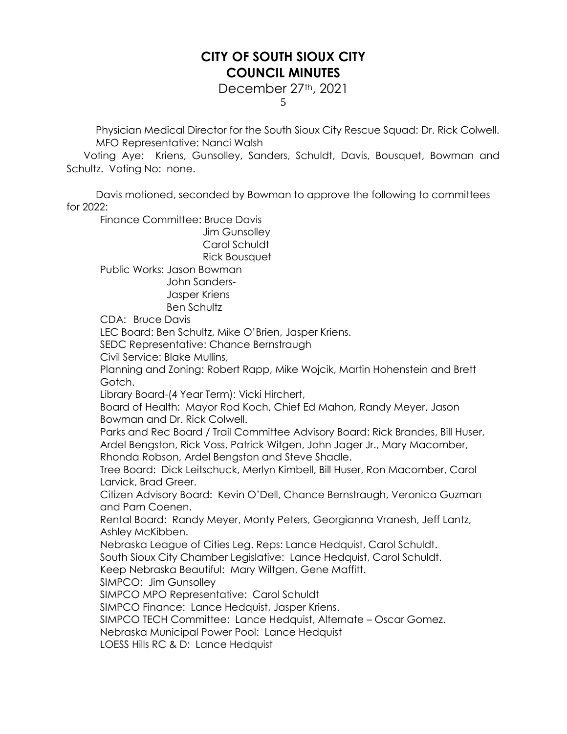December 27th, 2021

5

Physician Medical Director for the South Sioux City Rescue Squad: Dr. Rick Colwell. MFO Representative: Nanci Walsh

 Voting Aye: Kriens, Gunsolley, Sanders, Schuldt, Davis, Bousquet, Bowman and Schultz. Voting No: none.

Davis motioned, seconded by Bowman to approve the following to committees for 2022:

Finance Committee: Bruce Davis

Jim Gunsolley Carol Schuldt Rick Bousquet

Public Works: Jason Bowman

 John Sanders-Jasper Kriens

Ben Schultz

CDA: Bruce Davis

LEC Board: Ben Schultz, Mike O'Brien, Jasper Kriens.

SEDC Representative: Chance Bernstraugh

Civil Service: Blake Mullins,

Planning and Zoning: Robert Rapp, Mike Wojcik, Martin Hohenstein and Brett Gotch.

Library Board-(4 Year Term): Vicki Hirchert,

Board of Health: Mayor Rod Koch, Chief Ed Mahon, Randy Meyer, Jason Bowman and Dr. Rick Colwell.

Parks and Rec Board / Trail Committee Advisory Board: Rick Brandes, Bill Huser, Ardel Bengston, Rick Voss, Patrick Witgen, John Jager Jr., Mary Macomber, Rhonda Robson, Ardel Bengston and Steve Shadle.

Tree Board: Dick Leitschuck, Merlyn Kimbell, Bill Huser, Ron Macomber, Carol Larvick, Brad Greer.

Citizen Advisory Board: Kevin O'Dell, Chance Bernstraugh, Veronica Guzman and Pam Coenen.

Rental Board: Randy Meyer, Monty Peters, Georgianna Vranesh, Jeff Lantz, Ashley McKibben.

Nebraska League of Cities Leg. Reps: Lance Hedquist, Carol Schuldt.

South Sioux City Chamber Legislative: Lance Hedquist, Carol Schuldt.

Keep Nebraska Beautiful: Mary Wiltgen, Gene Maffitt.

SIMPCO: Jim Gunsolley

SIMPCO MPO Representative: Carol Schuldt

SIMPCO Finance: Lance Hedquist, Jasper Kriens.

SIMPCO TECH Committee: Lance Hedquist, Alternate – Oscar Gomez.

Nebraska Municipal Power Pool: Lance Hedquist

LOESS Hills RC & D: Lance Hedquist